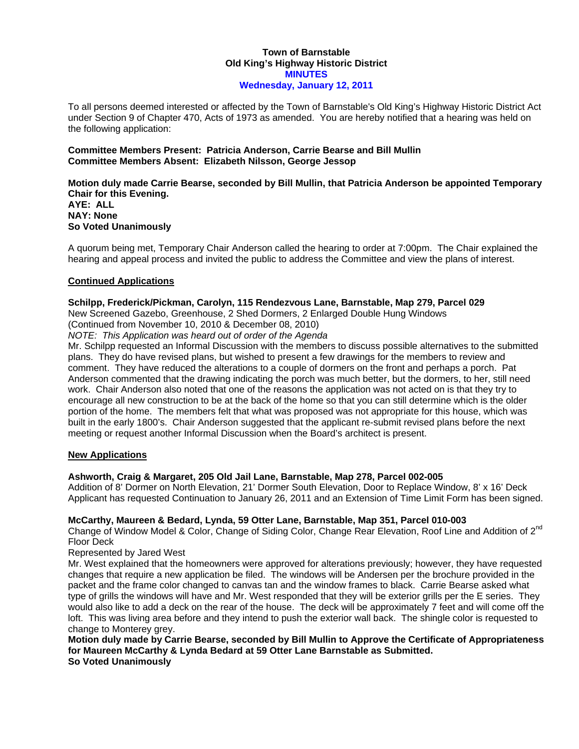### **Town of Barnstable Old King's Highway Historic District MINUTES Wednesday, January 12, 2011**

To all persons deemed interested or affected by the Town of Barnstable's Old King's Highway Historic District Act under Section 9 of Chapter 470, Acts of 1973 as amended. You are hereby notified that a hearing was held on the following application:

### **Committee Members Present: Patricia Anderson, Carrie Bearse and Bill Mullin Committee Members Absent: Elizabeth Nilsson, George Jessop**

# **Motion duly made Carrie Bearse, seconded by Bill Mullin, that Patricia Anderson be appointed Temporary Chair for this Evening.**

**AYE: ALL NAY: None So Voted Unanimously** 

A quorum being met, Temporary Chair Anderson called the hearing to order at 7:00pm. The Chair explained the hearing and appeal process and invited the public to address the Committee and view the plans of interest.

## **Continued Applications**

### **Schilpp, Frederick/Pickman, Carolyn, 115 Rendezvous Lane, Barnstable, Map 279, Parcel 029**

New Screened Gazebo, Greenhouse, 2 Shed Dormers, 2 Enlarged Double Hung Windows

(Continued from November 10, 2010 & December 08, 2010)

*NOTE: This Application was heard out of order of the Agenda* 

Mr. Schilpp requested an Informal Discussion with the members to discuss possible alternatives to the submitted plans. They do have revised plans, but wished to present a few drawings for the members to review and comment. They have reduced the alterations to a couple of dormers on the front and perhaps a porch. Pat Anderson commented that the drawing indicating the porch was much better, but the dormers, to her, still need work. Chair Anderson also noted that one of the reasons the application was not acted on is that they try to encourage all new construction to be at the back of the home so that you can still determine which is the older portion of the home. The members felt that what was proposed was not appropriate for this house, which was built in the early 1800's. Chair Anderson suggested that the applicant re-submit revised plans before the next meeting or request another Informal Discussion when the Board's architect is present.

## **New Applications**

## **Ashworth, Craig & Margaret, 205 Old Jail Lane, Barnstable, Map 278, Parcel 002-005**

Addition of 8' Dormer on North Elevation, 21' Dormer South Elevation, Door to Replace Window, 8' x 16' Deck Applicant has requested Continuation to January 26, 2011 and an Extension of Time Limit Form has been signed.

### **McCarthy, Maureen & Bedard, Lynda, 59 Otter Lane, Barnstable, Map 351, Parcel 010-003**

Change of Window Model & Color, Change of Siding Color, Change Rear Elevation, Roof Line and Addition of 2<sup>nd</sup> Floor Deck

Represented by Jared West

Mr. West explained that the homeowners were approved for alterations previously; however, they have requested changes that require a new application be filed. The windows will be Andersen per the brochure provided in the packet and the frame color changed to canvas tan and the window frames to black. Carrie Bearse asked what type of grills the windows will have and Mr. West responded that they will be exterior grills per the E series. They would also like to add a deck on the rear of the house. The deck will be approximately 7 feet and will come off the loft. This was living area before and they intend to push the exterior wall back. The shingle color is requested to change to Monterey grey.

**Motion duly made by Carrie Bearse, seconded by Bill Mullin to Approve the Certificate of Appropriateness for Maureen McCarthy & Lynda Bedard at 59 Otter Lane Barnstable as Submitted. So Voted Unanimously**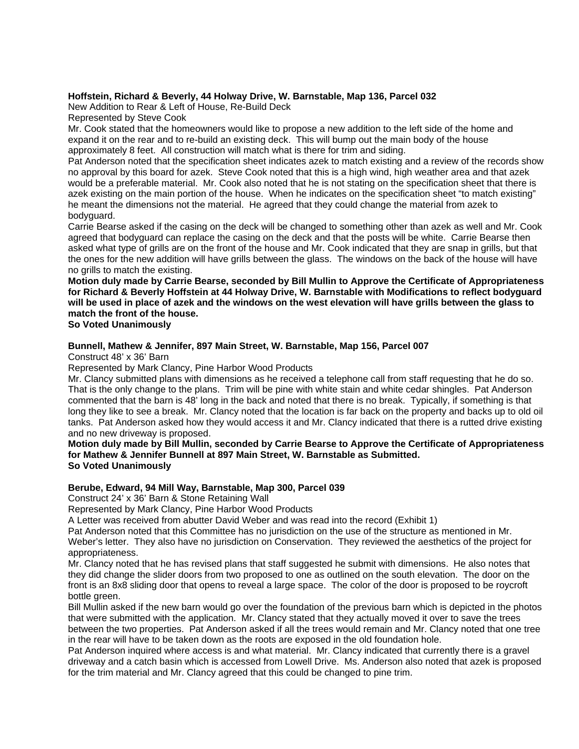### **Hoffstein, Richard & Beverly, 44 Holway Drive, W. Barnstable, Map 136, Parcel 032**

New Addition to Rear & Left of House, Re-Build Deck

Represented by Steve Cook

Mr. Cook stated that the homeowners would like to propose a new addition to the left side of the home and expand it on the rear and to re-build an existing deck. This will bump out the main body of the house approximately 8 feet. All construction will match what is there for trim and siding.

Pat Anderson noted that the specification sheet indicates azek to match existing and a review of the records show no approval by this board for azek. Steve Cook noted that this is a high wind, high weather area and that azek would be a preferable material. Mr. Cook also noted that he is not stating on the specification sheet that there is azek existing on the main portion of the house. When he indicates on the specification sheet "to match existing" he meant the dimensions not the material. He agreed that they could change the material from azek to bodyguard.

Carrie Bearse asked if the casing on the deck will be changed to something other than azek as well and Mr. Cook agreed that bodyguard can replace the casing on the deck and that the posts will be white. Carrie Bearse then asked what type of grills are on the front of the house and Mr. Cook indicated that they are snap in grills, but that the ones for the new addition will have grills between the glass. The windows on the back of the house will have no grills to match the existing.

**Motion duly made by Carrie Bearse, seconded by Bill Mullin to Approve the Certificate of Appropriateness for Richard & Beverly Hoffstein at 44 Holway Drive, W. Barnstable with Modifications to reflect bodyguard will be used in place of azek and the windows on the west elevation will have grills between the glass to match the front of the house.** 

### **So Voted Unanimously**

### **Bunnell, Mathew & Jennifer, 897 Main Street, W. Barnstable, Map 156, Parcel 007**

Construct 48' x 36' Barn

Represented by Mark Clancy, Pine Harbor Wood Products

Mr. Clancy submitted plans with dimensions as he received a telephone call from staff requesting that he do so. That is the only change to the plans. Trim will be pine with white stain and white cedar shingles. Pat Anderson commented that the barn is 48' long in the back and noted that there is no break. Typically, if something is that long they like to see a break. Mr. Clancy noted that the location is far back on the property and backs up to old oil tanks. Pat Anderson asked how they would access it and Mr. Clancy indicated that there is a rutted drive existing and no new driveway is proposed.

#### **Motion duly made by Bill Mullin, seconded by Carrie Bearse to Approve the Certificate of Appropriateness for Mathew & Jennifer Bunnell at 897 Main Street, W. Barnstable as Submitted. So Voted Unanimously**

### **Berube, Edward, 94 Mill Way, Barnstable, Map 300, Parcel 039**

Construct 24' x 36' Barn & Stone Retaining Wall

Represented by Mark Clancy, Pine Harbor Wood Products

A Letter was received from abutter David Weber and was read into the record (Exhibit 1)

Pat Anderson noted that this Committee has no jurisdiction on the use of the structure as mentioned in Mr.

Weber's letter. They also have no jurisdiction on Conservation. They reviewed the aesthetics of the project for appropriateness.

Mr. Clancy noted that he has revised plans that staff suggested he submit with dimensions. He also notes that they did change the slider doors from two proposed to one as outlined on the south elevation. The door on the front is an 8x8 sliding door that opens to reveal a large space. The color of the door is proposed to be roycroft bottle green.

Bill Mullin asked if the new barn would go over the foundation of the previous barn which is depicted in the photos that were submitted with the application. Mr. Clancy stated that they actually moved it over to save the trees between the two properties. Pat Anderson asked if all the trees would remain and Mr. Clancy noted that one tree in the rear will have to be taken down as the roots are exposed in the old foundation hole.

Pat Anderson inquired where access is and what material. Mr. Clancy indicated that currently there is a gravel driveway and a catch basin which is accessed from Lowell Drive. Ms. Anderson also noted that azek is proposed for the trim material and Mr. Clancy agreed that this could be changed to pine trim.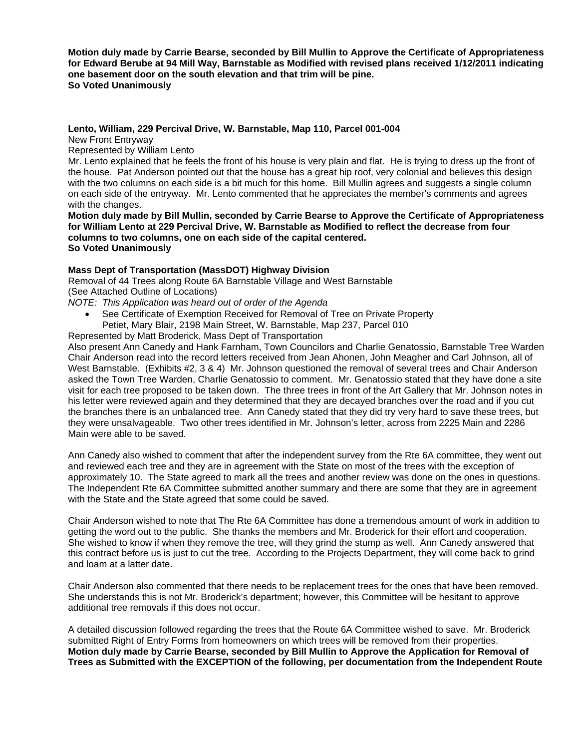**Motion duly made by Carrie Bearse, seconded by Bill Mullin to Approve the Certificate of Appropriateness for Edward Berube at 94 Mill Way, Barnstable as Modified with revised plans received 1/12/2011 indicating one basement door on the south elevation and that trim will be pine. So Voted Unanimously** 

### **Lento, William, 229 Percival Drive, W. Barnstable, Map 110, Parcel 001-004**

New Front Entryway

Represented by William Lento

Mr. Lento explained that he feels the front of his house is very plain and flat. He is trying to dress up the front of the house. Pat Anderson pointed out that the house has a great hip roof, very colonial and believes this design with the two columns on each side is a bit much for this home. Bill Mullin agrees and suggests a single column on each side of the entryway. Mr. Lento commented that he appreciates the member's comments and agrees with the changes.

**Motion duly made by Bill Mullin, seconded by Carrie Bearse to Approve the Certificate of Appropriateness for William Lento at 229 Percival Drive, W. Barnstable as Modified to reflect the decrease from four columns to two columns, one on each side of the capital centered. So Voted Unanimously** 

## **Mass Dept of Transportation (MassDOT) Highway Division**

Removal of 44 Trees along Route 6A Barnstable Village and West Barnstable (See Attached Outline of Locations)

*NOTE: This Application was heard out of order of the Agenda* 

- See Certificate of Exemption Received for Removal of Tree on Private Property Petiet, Mary Blair, 2198 Main Street, W. Barnstable, Map 237, Parcel 010
- Represented by Matt Broderick, Mass Dept of Transportation

Also present Ann Canedy and Hank Farnham, Town Councilors and Charlie Genatossio, Barnstable Tree Warden Chair Anderson read into the record letters received from Jean Ahonen, John Meagher and Carl Johnson, all of West Barnstable. (Exhibits #2, 3 & 4) Mr. Johnson questioned the removal of several trees and Chair Anderson asked the Town Tree Warden, Charlie Genatossio to comment. Mr. Genatossio stated that they have done a site visit for each tree proposed to be taken down. The three trees in front of the Art Gallery that Mr. Johnson notes in his letter were reviewed again and they determined that they are decayed branches over the road and if you cut the branches there is an unbalanced tree. Ann Canedy stated that they did try very hard to save these trees, but they were unsalvageable. Two other trees identified in Mr. Johnson's letter, across from 2225 Main and 2286 Main were able to be saved.

Ann Canedy also wished to comment that after the independent survey from the Rte 6A committee, they went out and reviewed each tree and they are in agreement with the State on most of the trees with the exception of approximately 10. The State agreed to mark all the trees and another review was done on the ones in questions. The Independent Rte 6A Committee submitted another summary and there are some that they are in agreement with the State and the State agreed that some could be saved.

Chair Anderson wished to note that The Rte 6A Committee has done a tremendous amount of work in addition to getting the word out to the public. She thanks the members and Mr. Broderick for their effort and cooperation. She wished to know if when they remove the tree, will they grind the stump as well. Ann Canedy answered that this contract before us is just to cut the tree. According to the Projects Department, they will come back to grind and loam at a latter date.

Chair Anderson also commented that there needs to be replacement trees for the ones that have been removed. She understands this is not Mr. Broderick's department; however, this Committee will be hesitant to approve additional tree removals if this does not occur.

A detailed discussion followed regarding the trees that the Route 6A Committee wished to save. Mr. Broderick submitted Right of Entry Forms from homeowners on which trees will be removed from their properties. **Motion duly made by Carrie Bearse, seconded by Bill Mullin to Approve the Application for Removal of Trees as Submitted with the EXCEPTION of the following, per documentation from the Independent Route**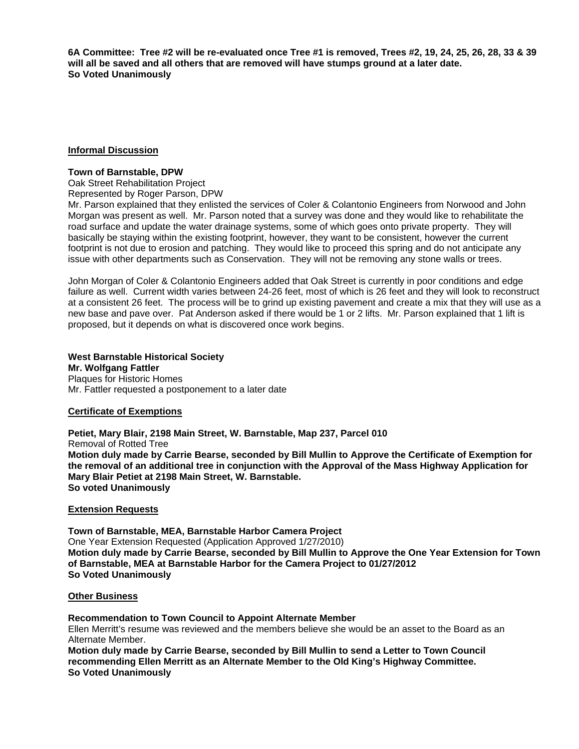**6A Committee: Tree #2 will be re-evaluated once Tree #1 is removed, Trees #2, 19, 24, 25, 26, 28, 33 & 39 will all be saved and all others that are removed will have stumps ground at a later date. So Voted Unanimously** 

### **Informal Discussion**

### **Town of Barnstable, DPW**

Oak Street Rehabilitation Project Represented by Roger Parson, DPW

Mr. Parson explained that they enlisted the services of Coler & Colantonio Engineers from Norwood and John Morgan was present as well. Mr. Parson noted that a survey was done and they would like to rehabilitate the road surface and update the water drainage systems, some of which goes onto private property. They will basically be staying within the existing footprint, however, they want to be consistent, however the current footprint is not due to erosion and patching. They would like to proceed this spring and do not anticipate any issue with other departments such as Conservation. They will not be removing any stone walls or trees.

John Morgan of Coler & Colantonio Engineers added that Oak Street is currently in poor conditions and edge failure as well. Current width varies between 24-26 feet, most of which is 26 feet and they will look to reconstruct at a consistent 26 feet. The process will be to grind up existing pavement and create a mix that they will use as a new base and pave over. Pat Anderson asked if there would be 1 or 2 lifts. Mr. Parson explained that 1 lift is proposed, but it depends on what is discovered once work begins.

### **West Barnstable Historical Society**

**Mr. Wolfgang Fattler**  Plaques for Historic Homes Mr. Fattler requested a postponement to a later date

### **Certificate of Exemptions**

**Petiet, Mary Blair, 2198 Main Street, W. Barnstable, Map 237, Parcel 010**  Removal of Rotted Tree **Motion duly made by Carrie Bearse, seconded by Bill Mullin to Approve the Certificate of Exemption for the removal of an additional tree in conjunction with the Approval of the Mass Highway Application for Mary Blair Petiet at 2198 Main Street, W. Barnstable. So voted Unanimously** 

### **Extension Requests**

**Town of Barnstable, MEA, Barnstable Harbor Camera Project**  One Year Extension Requested (Application Approved 1/27/2010) **Motion duly made by Carrie Bearse, seconded by Bill Mullin to Approve the One Year Extension for Town of Barnstable, MEA at Barnstable Harbor for the Camera Project to 01/27/2012 So Voted Unanimously** 

### **Other Business**

**Recommendation to Town Council to Appoint Alternate Member** 

Ellen Merritt's resume was reviewed and the members believe she would be an asset to the Board as an Alternate Member.

**Motion duly made by Carrie Bearse, seconded by Bill Mullin to send a Letter to Town Council recommending Ellen Merritt as an Alternate Member to the Old King's Highway Committee. So Voted Unanimously**